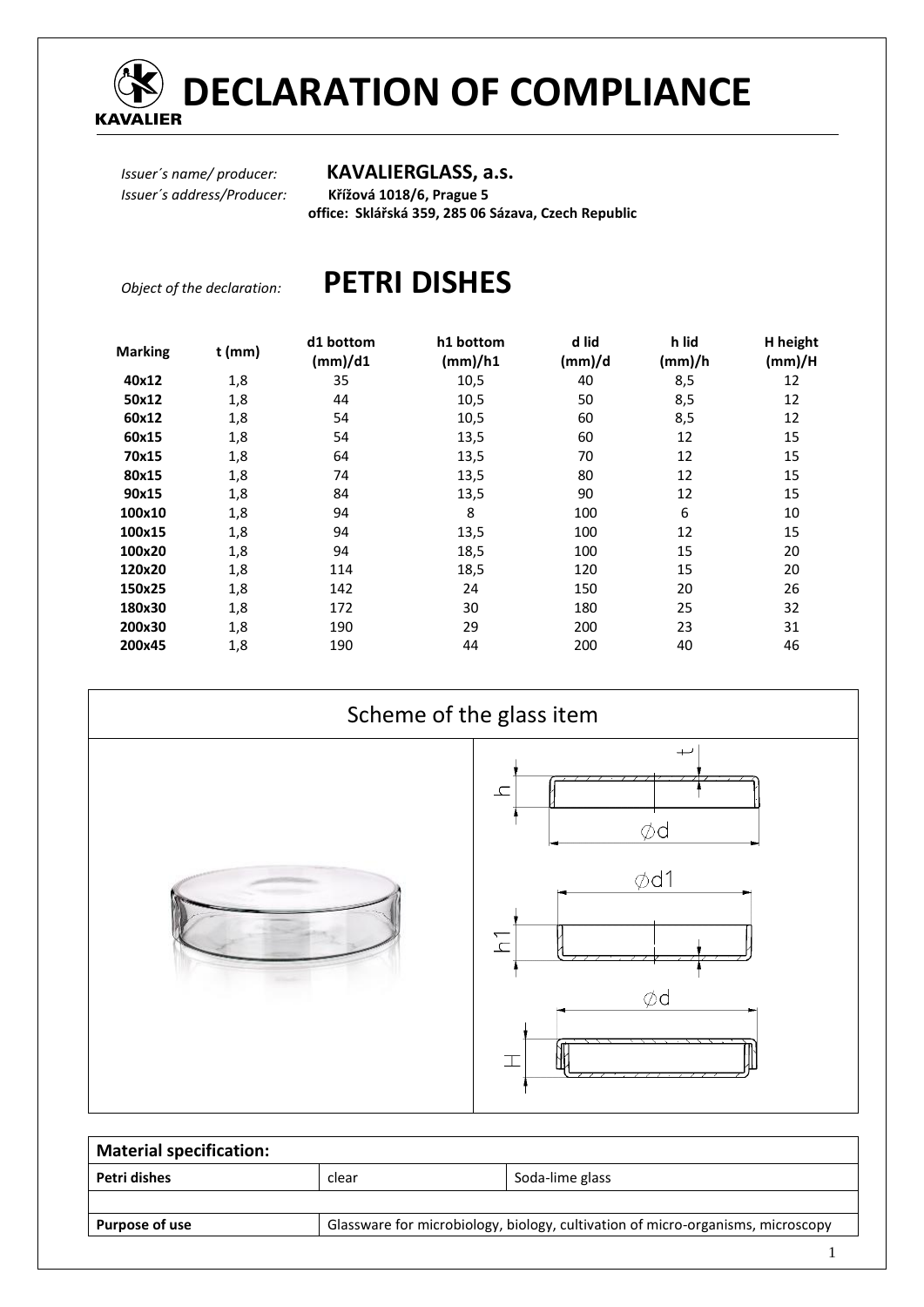

# **DECLARATION OF COMPLIANCE**

### *Issuer´s name/ producer:* **KAVALIERGLASS, a.s.**

*Issuer´s address/Producer:* **Křížová 1018/6, Prague 5 office: Sklářská 359, 285 06 Sázava, Czech Republic** 

# *Object of the declaration:* **PETRI DISHES**

| <b>Marking</b> | t (mm) | d1 bottom<br>(mm)/d1 | h1 bottom<br>(mm)/h1 | d lid<br>(mm)/d | h lid<br>(mm)/h | H height<br>(mm)/H |
|----------------|--------|----------------------|----------------------|-----------------|-----------------|--------------------|
| 40x12          | 1,8    | 35                   | 10,5                 | 40              | 8,5             | 12                 |
| 50x12          | 1,8    | 44                   | 10,5                 | 50              | 8,5             | 12                 |
| 60x12          | 1,8    | 54                   | 10,5                 | 60              | 8,5             | 12                 |
| 60x15          | 1,8    | 54                   | 13,5                 | 60              | 12              | 15                 |
| 70x15          | 1,8    | 64                   | 13,5                 | 70              | 12              | 15                 |
| 80x15          | 1,8    | 74                   | 13,5                 | 80              | 12              | 15                 |
| 90x15          | 1,8    | 84                   | 13,5                 | 90              | 12              | 15                 |
| 100x10         | 1,8    | 94                   | 8                    | 100             | 6               | 10                 |
| 100x15         | 1,8    | 94                   | 13,5                 | 100             | 12              | 15                 |
| 100x20         | 1,8    | 94                   | 18,5                 | 100             | 15              | 20                 |
| 120x20         | 1,8    | 114                  | 18,5                 | 120             | 15              | 20                 |
| 150x25         | 1,8    | 142                  | 24                   | 150             | 20              | 26                 |
| 180x30         | 1,8    | 172                  | 30                   | 180             | 25              | 32                 |
| 200x30         | 1,8    | 190                  | 29                   | 200             | 23              | 31                 |
| 200x45         | 1,8    | 190                  | 44                   | 200             | 40              | 46                 |



| <b>Material specification:</b> |       |                                                                                 |  |  |  |  |
|--------------------------------|-------|---------------------------------------------------------------------------------|--|--|--|--|
| Petri dishes                   | clear | Soda-lime glass                                                                 |  |  |  |  |
|                                |       |                                                                                 |  |  |  |  |
| <b>Purpose of use</b>          |       | Glassware for microbiology, biology, cultivation of micro-organisms, microscopy |  |  |  |  |
|                                |       |                                                                                 |  |  |  |  |